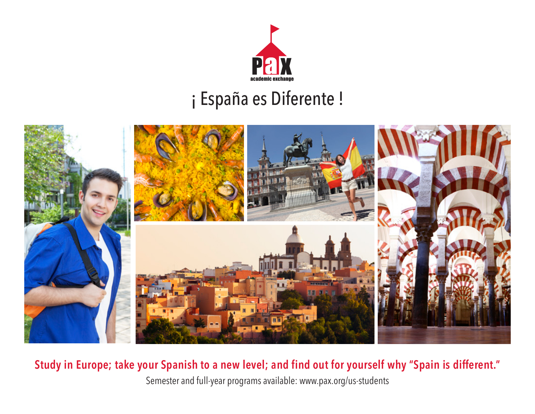

### ¡ España es Diferente !



**Study in Europe; take your Spanish to a new level; and find out for yourself why "Spain is different."** 

Semester and full-year programs available: www.pax.org/us-students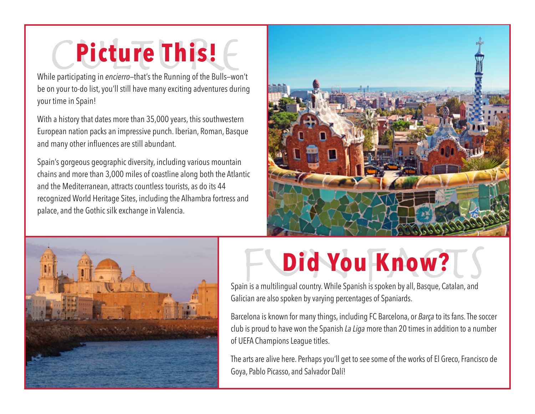### **Picture This!**

While participating in *encierro—*that's the Running of the Bulls—won't be on your to-do list, you'll still have many exciting adventures during your time in Spain!

With a history that dates more than 35,000 years, this southwestern European nation packs an impressive punch. Iberian, Roman, Basque and many other influences are still abundant.

Spain's gorgeous geographic diversity, including various mountain chains and more than 3,000 miles of coastline along both the Atlantic and the Mediterranean, attracts countless tourists, as do its 44 recognized World Heritage Sites, including the Alhambra fortress and palace, and the Gothic silk exchange in Valencia.





# **Did You Know?**

Spain is a multilingual country. While Spanish is spoken by all, Basque, Catalan, and Galician are also spoken by varying percentages of Spaniards.

Barcelona is known for many things, including FC Barcelona, or *Barça* to its fans. The soccer club is proud to have won the Spanish *La Liga* more than 20 times in addition to a number of UEFA Champions League titles.

The arts are alive here. Perhaps you'll get to see some of the works of El Greco, Francisco de Goya, Pablo Picasso, and Salvador Dalí!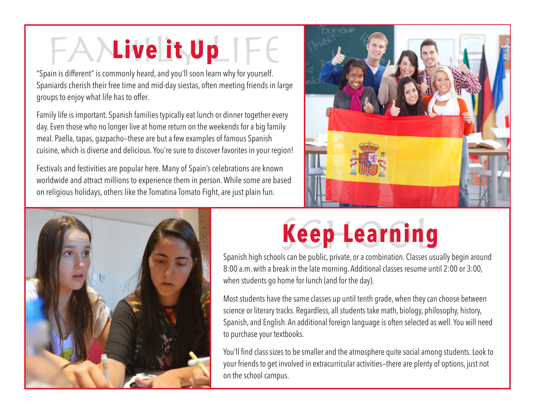# FAYLive it Up IFE

"Spain is different" is commonly heard, and you'll soon learn why for yourself. Spaniards cherish their free time and mid-day siestas, often meeting friends in large groups to enjoy what life has to offer.

Family life is important. Spanish families typically eat lunch or dinner together every day. Even those who no longer live at home return on the weekends for a big family meal. Paella, tapas, gazpacho—these are but a few examples of famous Spanish cuisine, which is diverse and delicious. You're sure to discover favorites in your region!

Festivals and festivities are popular here. Many of Spain's celebrations are known worldwide and attract millions to experience them in person. While some are based on religious holidays, others like the Tomatina Tomato Fight, are just plain fun.





## **Keep Learning**

Spanish high schools can be public, private, or a combination. Classes usually begin around 8:00 a.m. with a break in the late morning. Additional classes resume until 2:00 or 3:00, when students go home for lunch (and for the day).

Most students have the same classes up until tenth grade, when they can choose between science or literary tracks. Regardless, all students take math, biology, philosophy, history, Spanish, and English. An additional foreign language is often selected as well. You will need to purchase your textbooks.

You'll find class sizes to be smaller and the atmosphere quite social among students. Look to your friends to get involved in extracurricular activities—there are plenty of options, just not on the school campus.